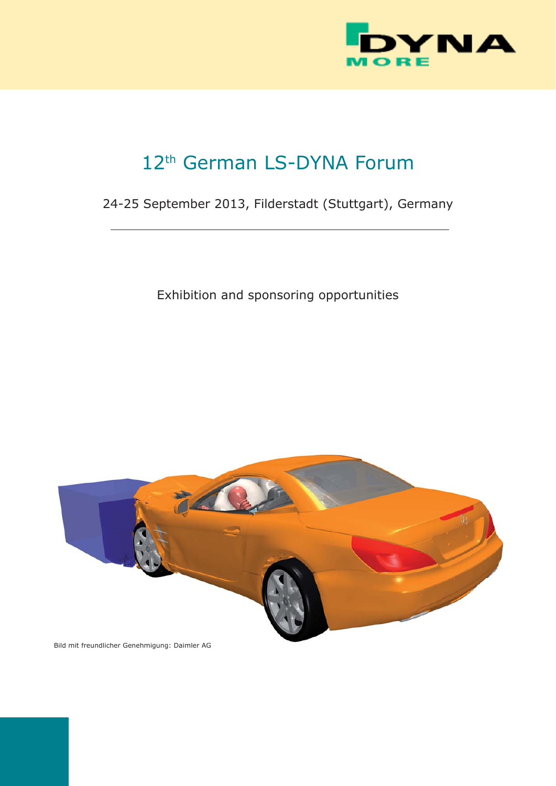

# 12<sup>th</sup> German LS-DYNA Forum

# 24-25 September 2013, Filderstadt (Stuttgart), Germany

Exhibition and sponsoring opportunities



Bild mit freundlicher Genehmigung: Daimler AG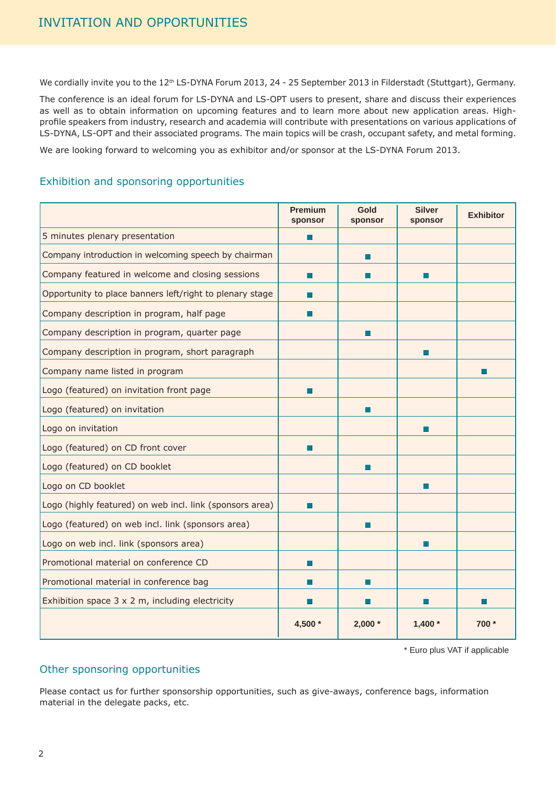We cordially invite you to the 12<sup>th</sup> LS-DYNA Forum 2013, 24 - 25 September 2013 in Filderstadt (Stuttgart), Germany.

The conference is an ideal forum for LS-DYNA and LS-OPT users to present, share and discuss their experiences as well as to obtain information on upcoming features and to learn more about new application areas. Highprofile speakers from industry, research and academia will contribute with presentations on various applications of LS-DYNA, LS-OPT and their associated programs. The main topics will be crash, occupant safety, and metal forming.

We are looking forward to welcoming you as exhibitor and/or sponsor at the LS-DYNA Forum 2013.

#### Exhibition and sponsoring opportunities

|                                                          | <b>Premium</b><br>sponsor | Gold<br>sponsor | <b>Silver</b><br>sponsor | <b>Exhibitor</b> |
|----------------------------------------------------------|---------------------------|-----------------|--------------------------|------------------|
| 5 minutes plenary presentation                           | П                         |                 |                          |                  |
| Company introduction in welcoming speech by chairman     |                           | H.              |                          |                  |
| Company featured in welcome and closing sessions         | П                         | H               | П                        |                  |
| Opportunity to place banners left/right to plenary stage | П                         |                 |                          |                  |
| Company description in program, half page                |                           |                 |                          |                  |
| Company description in program, quarter page             |                           | $\Box$          |                          |                  |
| Company description in program, short paragraph          |                           |                 | П                        |                  |
| Company name listed in program                           |                           |                 |                          |                  |
| Logo (featured) on invitation front page                 | П                         |                 |                          |                  |
| Logo (featured) on invitation                            |                           | п               |                          |                  |
| Logo on invitation                                       |                           |                 | П                        |                  |
| Logo (featured) on CD front cover                        | П                         |                 |                          |                  |
| Logo (featured) on CD booklet                            |                           | H.              |                          |                  |
| Logo on CD booklet                                       |                           |                 | ш                        |                  |
| Logo (highly featured) on web incl. link (sponsors area) | ш                         |                 |                          |                  |
| Logo (featured) on web incl. link (sponsors area)        |                           | ×               |                          |                  |
| Logo on web incl. link (sponsors area)                   |                           |                 | П                        |                  |
| Promotional material on conference CD                    | П                         |                 |                          |                  |
| Promotional material in conference bag                   |                           | H.              |                          |                  |
| Exhibition space $3 \times 2$ m, including electricity   |                           |                 |                          |                  |
|                                                          | 4,500 *                   | $2,000*$        | $1,400*$                 | 700 *            |

\* Euro plus VAT if applicable

#### Other sponsoring opportunities

Please contact us for further sponsorship opportunities, such as give-aways, conference bags, information material in the delegate packs, etc.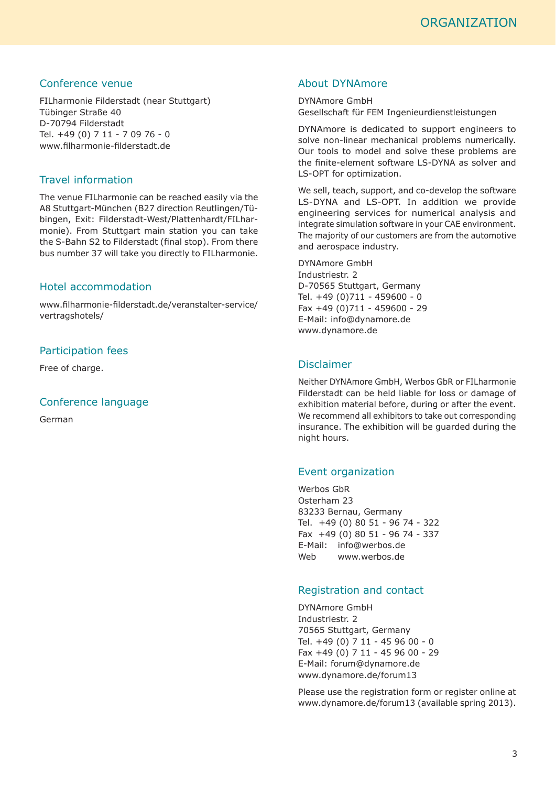#### Conference venue

FILharmonie Filderstadt (near Stuttgart) Tübinger Straße 40 D-70794 Filderstadt Tel. +49 (0) 7 11 - 7 09 76 - 0 www.filharmonie-filderstadt.de

#### Travel information

The venue FILharmonie can be reached easily via the A8 Stuttgart-München (B27 direction Reutlingen/Tübingen, Exit: Filderstadt-West/Plattenhardt/FILharmonie). From Stuttgart main station you can take the S-Bahn S2 to Filderstadt (final stop). From there bus number 37 will take you directly to FILharmonie.

#### Hotel accommodation

www.fi lharmonie-fi lderstadt.de/veranstalter-service/ vertragshotels/

#### Participation fees

Free of charge.

#### Conference language

German

#### About DYNAmore

DYNAmore GmbH Gesellschaft für FEM Ingenieurdienstleistungen

DYNAmore is dedicated to support engineers to solve non-linear mechanical problems numerically. Our tools to model and solve these problems are the finite-element software LS-DYNA as solver and LS-OPT for optimization.

We sell, teach, support, and co-develop the software LS-DYNA and LS-OPT. In addition we provide engineering services for numerical analysis and integrate simulation software in your CAE environment. The majority of our customers are from the automotive and aerospace industry.

DYNAmore GmbH Industriestr. 2 D-70565 Stuttgart, Germany Tel. +49 (0)711 - 459600 - 0 Fax +49 (0)711 - 459600 - 29 E-Mail: info@dynamore.de www.dynamore.de

#### Disclaimer

Neither DYNAmore GmbH, Werbos GbR or FILharmonie Filderstadt can be held liable for loss or damage of exhibition material before, during or after the event. We recommend all exhibitors to take out corresponding insurance. The exhibition will be guarded during the night hours.

#### Event organization

Werbos GbR Osterham 23 83233 Bernau, Germany Tel. +49 (0) 80 51 - 96 74 - 322 Fax +49 (0) 80 51 - 96 74 - 337 E-Mail: info@werbos.de Web www.werbos.de

#### Registration and contact

DYNAmore GmbH Industriestr. 2 70565 Stuttgart, Germany Tel. +49 (0) 7 11 - 45 96 00 - 0 Fax +49 (0) 7 11 - 45 96 00 - 29 E-Mail: forum@dynamore.de www.dynamore.de/forum13

Please use the registration form or register online at www.dynamore.de/forum13 (available spring 2013).